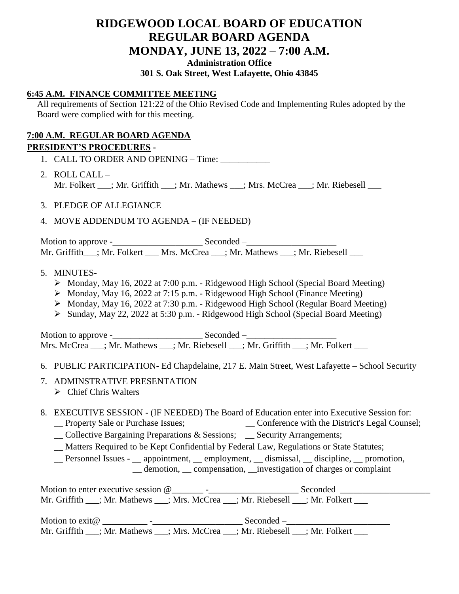# **RIDGEWOOD LOCAL BOARD OF EDUCATION REGULAR BOARD AGENDA MONDAY, JUNE 13, 2022 – 7:00 A.M. Administration Office**

### **301 S. Oak Street, West Lafayette, Ohio 43845**

## **6:45 A.M. FINANCE COMMITTEE MEETING**

All requirements of Section 121:22 of the Ohio Revised Code and Implementing Rules adopted by the Board were complied with for this meeting.

## **7:00 A.M. REGULAR BOARD AGENDA**

## **PRESIDENT'S PROCEDURES -**

1. CALL TO ORDER AND OPENING – Time:

- 2. ROLL CALL Mr. Folkert \_\_\_; Mr. Griffith \_\_\_; Mr. Mathews \_\_\_; Mrs. McCrea \_\_\_; Mr. Riebesell \_\_\_
- 3. PLEDGE OF ALLEGIANCE
- 4. MOVE ADDENDUM TO AGENDA (IF NEEDED)

Motion to approve -\_\_\_\_\_\_\_\_\_\_\_\_\_\_\_\_\_\_\_\_ Seconded –\_\_\_\_\_\_\_\_\_\_\_\_\_\_\_\_\_\_\_\_ Mr. Griffith\_\_\_; Mr. Folkert \_\_\_ Mrs. McCrea \_\_\_; Mr. Mathews \_\_\_; Mr. Riebesell \_\_\_

- 5. MINUTES-
	- $\triangleright$  Monday, May 16, 2022 at 7:00 p.m. Ridgewood High School (Special Board Meeting)
	- $\triangleright$  Monday, May 16, 2022 at 7:15 p.m. Ridgewood High School (Finance Meeting)
	- Monday, May 16, 2022 at 7:30 p.m. Ridgewood High School (Regular Board Meeting)
	- Sunday, May 22, 2022 at 5:30 p.m. Ridgewood High School (Special Board Meeting)

Motion to approve -\_\_\_\_\_\_\_\_\_\_\_\_\_\_\_\_\_\_\_\_ Seconded –\_\_\_\_\_\_\_\_\_\_\_\_\_\_\_\_\_\_\_\_ Mrs. McCrea  $\therefore$  Mr. Mathews  $\therefore$  Mr. Riebesell  $\therefore$  Mr. Griffith  $\therefore$  Mr. Folkert

### 6. PUBLIC PARTICIPATION- Ed Chapdelaine, 217 E. Main Street, West Lafayette – School Security

- 7. ADMINSTRATIVE PRESENTATION
	- $\triangleright$  Chief Chris Walters

### 8. EXECUTIVE SESSION - (IF NEEDED) The Board of Education enter into Executive Session for:

- \_\_ Property Sale or Purchase Issues; \_\_ Conference with the District's Legal Counsel;
- \_\_ Collective Bargaining Preparations & Sessions; \_\_ Security Arrangements;
- \_\_ Matters Required to be Kept Confidential by Federal Law, Regulations or State Statutes;

\_\_ Personnel Issues - \_\_ appointment, \_\_ employment, \_\_ dismissal, \_\_ discipline, \_\_ promotion, \_\_ demotion, \_\_ compensation, \_\_investigation of charges or complaint

Motion to enter executive session @\_\_\_\_\_\_\_ -\_\_\_\_\_\_\_\_\_\_\_\_\_\_\_\_\_\_\_\_ Seconded–\_\_\_\_\_\_\_\_\_\_\_\_\_\_\_\_\_\_\_\_ Mr. Griffith \_\_\_; Mr. Mathews \_\_\_; Mrs. McCrea \_\_\_; Mr. Riebesell \_\_\_; Mr. Folkert \_\_\_

Motion to exit@ \_\_\_\_\_\_\_\_\_\_ -\_\_\_\_\_\_\_\_\_\_\_\_\_\_\_\_\_\_\_\_ Seconded –\_\_\_\_\_\_\_\_\_\_\_\_\_\_\_\_\_\_\_\_\_\_\_ Mr. Griffith  $\frac{1}{\sqrt{Mr}}$ . Mathews  $\frac{1}{\sqrt{Mr}}$ . McCrea  $\frac{1}{\sqrt{Mr}}$ . Riebesell  $\frac{1}{\sqrt{Mr}}$ . Folkert  $\frac{1}{\sqrt{Mr}}$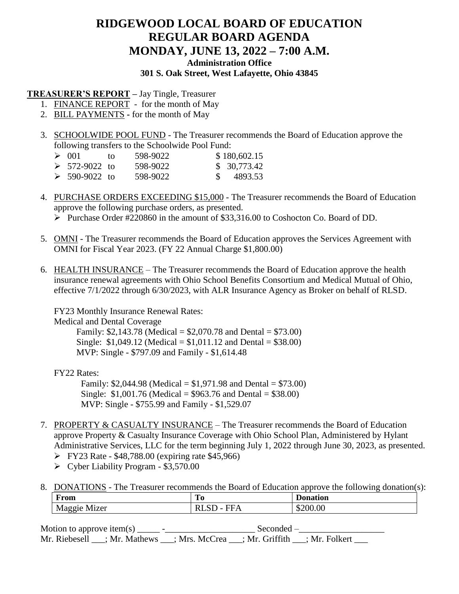## **RIDGEWOOD LOCAL BOARD OF EDUCATION REGULAR BOARD AGENDA MONDAY, JUNE 13, 2022 – 7:00 A.M. Administration Office 301 S. Oak Street, West Lafayette, Ohio 43845**

**TREASURER'S REPORT –** Jay Tingle, Treasurer

- 1. FINANCE REPORT for the month of May
- 2. BILL PAYMENTS **-** for the month of May
- 3. SCHOOLWIDE POOL FUND The Treasurer recommends the Board of Education approve the following transfers to the Schoolwide Pool Fund:

| $\geq 001$                   | tΩ | 598-9022 | \$180,602.15 |
|------------------------------|----|----------|--------------|
| $\triangleright$ 572-9022 to |    | 598-9022 | \$30,773.42  |
| $\geq 590 - 9022$ to         |    | 598-9022 | \$4893.53    |

- 4. PURCHASE ORDERS EXCEEDING \$15,000 The Treasurer recommends the Board of Education approve the following purchase orders, as presented. Purchase Order #220860 in the amount of \$33,316.00 to Coshocton Co. Board of DD.
- 5. OMNI The Treasurer recommends the Board of Education approves the Services Agreement with OMNI for Fiscal Year 2023. (FY 22 Annual Charge \$1,800.00)
- 6. HEALTH INSURANCE The Treasurer recommends the Board of Education approve the health insurance renewal agreements with Ohio School Benefits Consortium and Medical Mutual of Ohio, effective 7/1/2022 through 6/30/2023, with ALR Insurance Agency as Broker on behalf of RLSD.

FY23 Monthly Insurance Renewal Rates:

Medical and Dental Coverage

 Family: \$2,143.78 (Medical = \$2,070.78 and Dental = \$73.00) Single:  $$1,049.12$  (Medical =  $$1,011.12$  and Dental =  $$38.00$ ) MVP: Single - \$797.09 and Family - \$1,614.48

FY22 Rates:

Family: \$2,044.98 (Medical = \$1,971.98 and Dental = \$73.00) Single: \$1,001.76 (Medical = \$963.76 and Dental = \$38.00) MVP: Single - \$755.99 and Family - \$1,529.07

- 7. PROPERTY & CASUALTY INSURANCE The Treasurer recommends the Board of Education approve Property & Casualty Insurance Coverage with Ohio School Plan, Administered by Hylant Administrative Services, LLC for the term beginning July 1, 2022 through June 30, 2023, as presented.
	- $\triangleright$  FY23 Rate \$48,788.00 (expiring rate \$45,966)
	- $\triangleright$  Cyber Liability Program \$3,570.00
- 8. DONATIONS The Treasurer recommends the Board of Education approve the following donation(s):

| $\overline{\phantom{0}}$<br>"РАМ<br>T L'OILL                                  | <b>Press</b><br>T0.                            | $\sim$<br>шоп |
|-------------------------------------------------------------------------------|------------------------------------------------|---------------|
| $\sim$ 1<br>- 1<br>17 <sub>0</sub> r<br>$\sim$ $\sim$ $\sim$ $\sim$<br>w<br>- | ---<br><br>$\overline{\phantom{0}}$<br>.<br>-- | O             |

Motion to approve item(s) \_\_\_\_\_ -\_\_\_\_\_\_\_\_\_\_\_\_\_\_\_\_\_\_\_\_ Seconded –\_\_\_\_\_\_\_\_\_\_\_\_\_\_\_\_\_\_\_ Mr. Riebesell \_\_\_; Mr. Mathews \_\_\_; Mrs. McCrea \_\_\_; Mr. Griffith \_\_\_; Mr. Folkert \_\_\_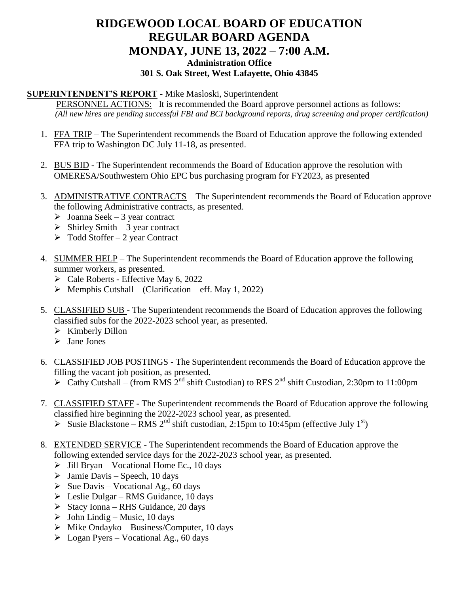# **RIDGEWOOD LOCAL BOARD OF EDUCATION REGULAR BOARD AGENDA MONDAY, JUNE 13, 2022 – 7:00 A.M. Administration Office 301 S. Oak Street, West Lafayette, Ohio 43845**

### **SUPERINTENDENT'S REPORT** - Mike Masloski, Superintendent

PERSONNEL ACTIONS: It is recommended the Board approve personnel actions as follows: *(All new hires are pending successful FBI and BCI background reports, drug screening and proper certification)*

- 1. FFA TRIP The Superintendent recommends the Board of Education approve the following extended FFA trip to Washington DC July 11-18, as presented.
- 2. BUS BID The Superintendent recommends the Board of Education approve the resolution with OMERESA/Southwestern Ohio EPC bus purchasing program for FY2023, as presented
- 3. ADMINISTRATIVE CONTRACTS The Superintendent recommends the Board of Education approve the following Administrative contracts, as presented.
	- $\geq$  Joanna Seek 3 year contract
	- $\triangleright$  Shirley Smith 3 year contract
	- $\triangleright$  Todd Stoffer 2 year Contract
- 4. SUMMER HELP The Superintendent recommends the Board of Education approve the following summer workers, as presented.
	- $\triangleright$  Cale Roberts Effective May 6, 2022
	- $\triangleright$  Memphis Cutshall (Clarification eff. May 1, 2022)
- 5. CLASSIFIED SUB The Superintendent recommends the Board of Education approves the following classified subs for the 2022-2023 school year, as presented.
	- $\triangleright$  Kimberly Dillon
	- $\triangleright$  Jane Jones
- 6. CLASSIFIED JOB POSTINGS The Superintendent recommends the Board of Education approve the filling the vacant job position, as presented.
	- $\geq$  Cathy Cutshall (from RMS 2<sup>nd</sup> shift Custodian) to RES 2<sup>nd</sup> shift Custodian, 2:30pm to 11:00pm
- 7. CLASSIFIED STAFF The Superintendent recommends the Board of Education approve the following classified hire beginning the 2022-2023 school year, as presented.
	- Susie Blackstone RMS  $2^{nd}$  shift custodian, 2:15pm to 10:45pm (effective July 1<sup>st</sup>)
- 8. EXTENDED SERVICE The Superintendent recommends the Board of Education approve the following extended service days for the 2022-2023 school year, as presented.
	- $\triangleright$  Jill Bryan Vocational Home Ec., 10 days
	- $\triangleright$  Jamie Davis Speech, 10 days
	- $\triangleright$  Sue Davis Vocational Ag., 60 days
	- $\triangleright$  Leslie Dulgar RMS Guidance, 10 days
	- $\triangleright$  Stacy Ionna RHS Guidance, 20 days
	- $\triangleright$  John Lindig Music, 10 days
	- $\triangleright$  Mike Ondayko Business/Computer, 10 days
	- $\triangleright$  Logan Pyers Vocational Ag., 60 days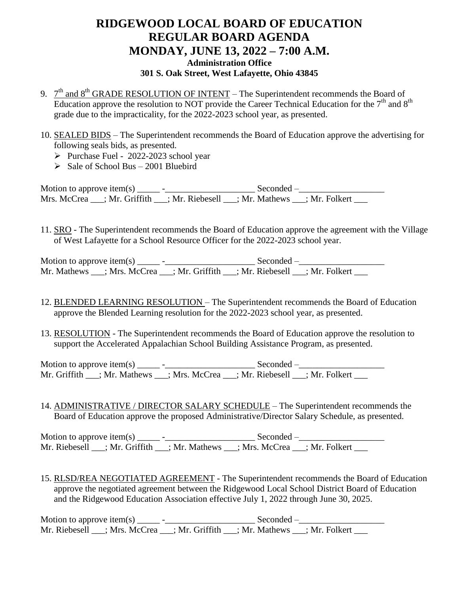## **RIDGEWOOD LOCAL BOARD OF EDUCATION REGULAR BOARD AGENDA MONDAY, JUNE 13, 2022 – 7:00 A.M. Administration Office 301 S. Oak Street, West Lafayette, Ohio 43845**

- 9.  $7<sup>th</sup>$  and  $8<sup>th</sup>$  GRADE RESOLUTION OF INTENT The Superintendent recommends the Board of Education approve the resolution to NOT provide the Career Technical Education for the  $7<sup>th</sup>$  and  $8<sup>th</sup>$ grade due to the impracticality, for the 2022-2023 school year, as presented.
- 10. SEALED BIDS The Superintendent recommends the Board of Education approve the advertising for following seals bids, as presented.
	- $\triangleright$  Purchase Fuel 2022-2023 school year
	- $\geq$  Sale of School Bus 2001 Bluebird

Motion to approve item(s) \_\_\_\_\_ -\_\_\_\_\_\_\_\_\_\_\_\_\_\_\_\_\_\_\_\_ Seconded –\_\_\_\_\_\_\_\_\_\_\_\_\_\_\_\_\_\_\_ Mrs. McCrea \_\_\_; Mr. Griffith \_\_\_; Mr. Riebesell \_\_\_; Mr. Mathews \_\_\_; Mr. Folkert \_\_\_

11. SRO - The Superintendent recommends the Board of Education approve the agreement with the Village of West Lafayette for a School Resource Officer for the 2022-2023 school year.

Motion to approve item(s) \_\_\_\_\_ -\_\_\_\_\_\_\_\_\_\_\_\_\_\_\_\_\_\_\_\_ Seconded –\_\_\_\_\_\_\_\_\_\_\_\_\_\_\_\_\_\_\_ Mr. Mathews \_\_\_; Mrs. McCrea \_\_\_; Mr. Griffith \_\_\_; Mr. Riebesell \_\_\_; Mr. Folkert \_\_\_

- 12. BLENDED LEARNING RESOLUTION The Superintendent recommends the Board of Education approve the Blended Learning resolution for the 2022-2023 school year, as presented.
- 13. RESOLUTION The Superintendent recommends the Board of Education approve the resolution to support the Accelerated Appalachian School Building Assistance Program, as presented.

Motion to approve item(s) \_\_\_\_\_ -\_\_\_\_\_\_\_\_\_\_\_\_\_\_\_\_\_\_\_\_ Seconded –\_\_\_\_\_\_\_\_\_\_\_\_\_\_\_\_\_\_\_ Mr. Griffith \_\_\_; Mr. Mathews \_\_\_; Mrs. McCrea \_\_\_; Mr. Riebesell \_\_\_; Mr. Folkert \_\_\_

14. ADMINISTRATIVE / DIRECTOR SALARY SCHEDULE – The Superintendent recommends the Board of Education approve the proposed Administrative/Director Salary Schedule, as presented.

Motion to approve item(s) \_\_\_\_\_ -\_\_\_\_\_\_\_\_\_\_\_\_\_\_\_\_\_\_\_\_ Seconded –\_\_\_\_\_\_\_\_\_\_\_\_\_\_\_\_\_\_\_ Mr. Riebesell \_\_\_; Mr. Griffith \_\_\_; Mr. Mathews \_\_\_; Mrs. McCrea \_\_\_; Mr. Folkert \_\_\_

15. RLSD/REA NEGOTIATED AGREEMENT - The Superintendent recommends the Board of Education approve the negotiated agreement between the Ridgewood Local School District Board of Education and the Ridgewood Education Association effective July 1, 2022 through June 30, 2025.

Motion to approve item(s)  $\qquad \qquad -$  Seconded – Mr. Riebesell \_\_\_; Mrs. McCrea \_\_\_; Mr. Griffith \_\_\_; Mr. Mathews \_\_\_; Mr. Folkert